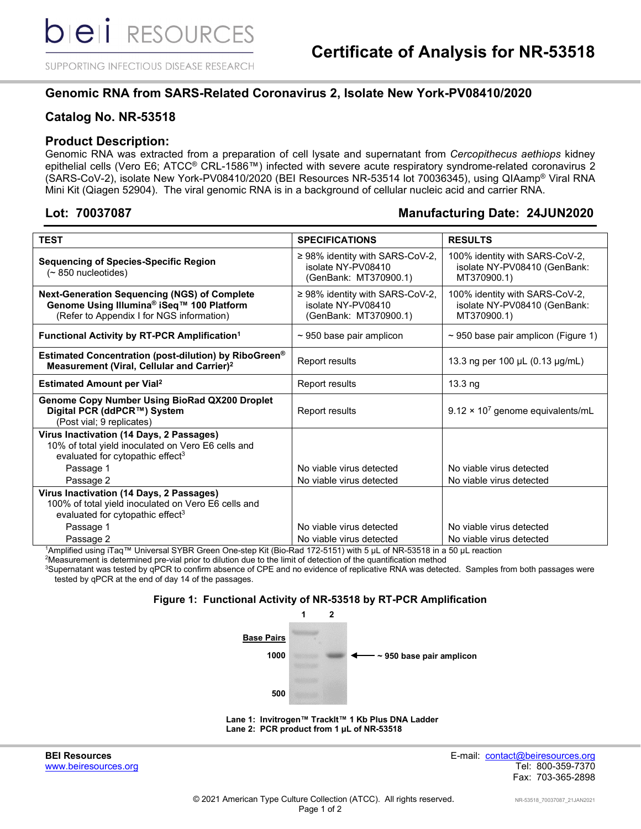SUPPORTING INFECTIOUS DISEASE RESEARCH

# **Genomic RNA from SARS-Related Coronavirus 2, Isolate New York-PV08410/2020**

# **Catalog No. NR-53518**

## **Product Description:**

Genomic RNA was extracted from a preparation of cell lysate and supernatant from *Cercopithecus aethiops* kidney epithelial cells (Vero E6; ATCC® CRL-1586™) infected with severe acute respiratory syndrome-related coronavirus 2 (SARS-CoV-2), isolate New York-PV08410/2020 (BEI Resources NR-53514 lot 70036345), using QIAamp® Viral RNA Mini Kit (Qiagen 52904). The viral genomic RNA is in a background of cellular nucleic acid and carrier RNA.

# **Lot: 70037087 Manufacturing Date: 24JUN2020**

| <b>TEST</b>                                                                                                                                                              | <b>SPECIFICATIONS</b>                                                               | <b>RESULTS</b>                                                                |  |  |
|--------------------------------------------------------------------------------------------------------------------------------------------------------------------------|-------------------------------------------------------------------------------------|-------------------------------------------------------------------------------|--|--|
| <b>Sequencing of Species-Specific Region</b><br>$($ $\sim$ 850 nucleotides)                                                                                              | $\geq$ 98% identity with SARS-CoV-2,<br>isolate NY-PV08410<br>(GenBank: MT370900.1) | 100% identity with SARS-CoV-2,<br>isolate NY-PV08410 (GenBank:<br>MT370900.1) |  |  |
| <b>Next-Generation Sequencing (NGS) of Complete</b><br>Genome Using Illumina® iSeq™ 100 Platform<br>(Refer to Appendix I for NGS information)                            | $\geq$ 98% identity with SARS-CoV-2,<br>isolate NY-PV08410<br>(GenBank: MT370900.1) | 100% identity with SARS-CoV-2,<br>isolate NY-PV08410 (GenBank:<br>MT370900.1) |  |  |
| Functional Activity by RT-PCR Amplification <sup>1</sup>                                                                                                                 | $\sim$ 950 base pair amplicon                                                       | $\sim$ 950 base pair amplicon (Figure 1)                                      |  |  |
| Estimated Concentration (post-dilution) by RiboGreen <sup>®</sup><br>Measurement (Viral, Cellular and Carrier) <sup>2</sup>                                              | Report results                                                                      | 13.3 ng per 100 µL (0.13 µg/mL)                                               |  |  |
| <b>Estimated Amount per Vial<sup>2</sup></b>                                                                                                                             | Report results                                                                      | $13.3$ ng                                                                     |  |  |
| Genome Copy Number Using BioRad QX200 Droplet<br>Digital PCR (ddPCR™) System<br>(Post vial; 9 replicates)                                                                | <b>Report results</b>                                                               | $9.12 \times 10^7$ genome equivalents/mL                                      |  |  |
| Virus Inactivation (14 Days, 2 Passages)<br>10% of total yield inoculated on Vero E6 cells and<br>evaluated for cytopathic effect <sup>3</sup><br>Passage 1<br>Passage 2 | No viable virus detected<br>No viable virus detected                                | No viable virus detected<br>No viable virus detected                          |  |  |
| Virus Inactivation (14 Days, 2 Passages)<br>100% of total yield inoculated on Vero E6 cells and<br>evaluated for cytopathic effect <sup>3</sup>                          |                                                                                     |                                                                               |  |  |
| Passage 1<br>Passage 2                                                                                                                                                   | No viable virus detected<br>No viable virus detected                                | No viable virus detected<br>No viable virus detected                          |  |  |

1 Amplified using iTaq™ Universal SYBR Green One-step Kit (Bio-Rad 172-5151) with 5 µL of NR-53518 in a 50 µL reaction

2 Measurement is determined pre-vial prior to dilution due to the limit of detection of the quantification method

 $^3$ Supernatant was tested by qPCR to confirm absence of CPE and no evidence of replicative RNA was detected. Samples from both passages were tested by qPCR at the end of day 14 of the passages.

#### **Figure 1: Functional Activity of NR-53518 by RT-PCR Amplification**



**Lane 1: Invitrogen™ TrackIt™ 1 Kb Plus DNA Ladder Lane 2: PCR product from 1 µL of NR-53518**

www.beiresources.org

**BEI Resources** E-mail: contact@beiresources.org Fax: 703-365-2898